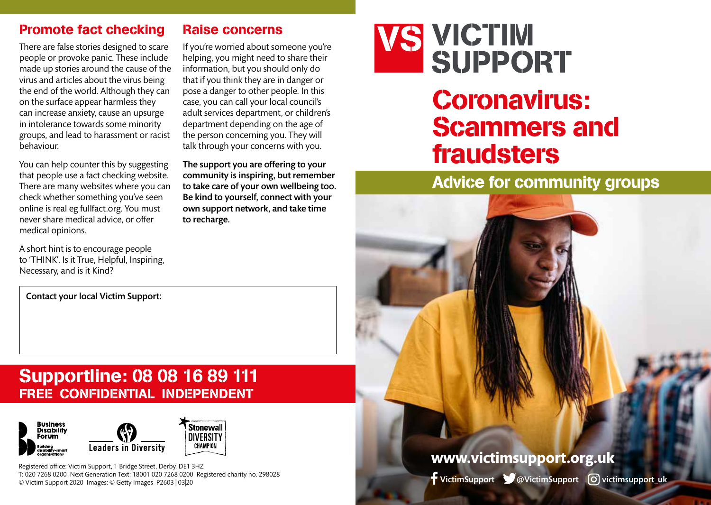### Promote fact checking

There are false stories designed to scare people or provoke panic. These include made up stories around the cause of the virus and articles about the virus being the end of the world. Although they can on the surface appear harmless they can increase anxiety, cause an upsurge in intolerance towards some minority groups, and lead to harassment or racist behaviour.

You can help counter this by suggesting that people use a fact checking website. There are many websites where you can check whether something you've seen online is real eg fullfact.org. You must never share medical advice, or offer medical opinions.

A short hint is to encourage people to 'THINK'. Is it True, Helpful, Inspiring, Necessary, and is it Kind?

If you're worried about someone you're helping, you might need to share their information, but you should only do that if you think they are in danger or pose a danger to other people. In this case, you can call your local council's adult services department, or children's department depending on the age of the person concerning you. They will

talk through your concerns with you.

Raise concerns

The support you are offering to your community is inspiring, but remember to take care of your own wellbeing too. Be kind to yourself, connect with your own support network, and take time to recharge.



# Supportline: 08 08 16 89 111 FREE CONFIDENTIAL INDEPENDENT



Registered office: Victim Support, 1 Bridge Street, Derby, DE1 3HZ T: 020 7268 0200 Next Generation Text: 18001 020 7268 0200 Registered charity no. 298028 © Victim Support 2020 Images: © Getty Images P2603 | 03|20



# Coronavirus: Scammers and fraudsters

# Advice for community groups



VictimSupport V@VictimSupport (O) victimsupport uk